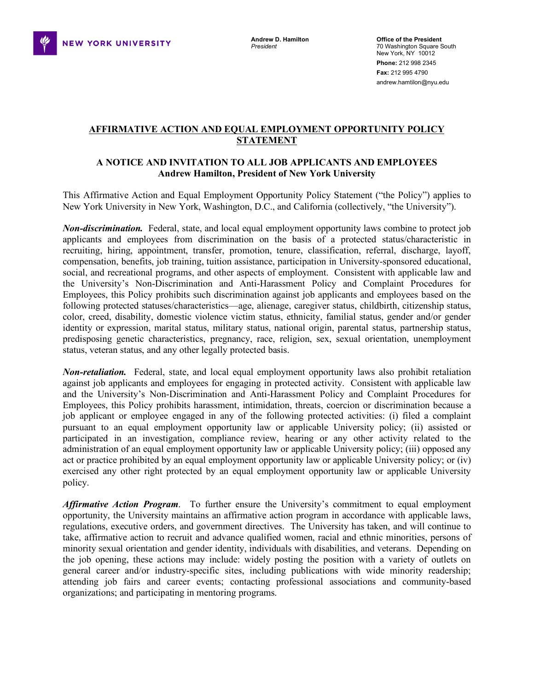

## **AFFIRMATIVE ACTION AND EQUAL EMPLOYMENT OPPORTUNITY POLICY STATEMENT**

## **A NOTICE AND INVITATION TO ALL JOB APPLICANTS AND EMPLOYEES Andrew Hamilton, President of New York University**

 This Affirmative Action and Equal Employment Opportunity Policy Statement ("the Policy") applies to New York University in New York, Washington, D.C., and California (collectively, "the University").

 *Non-discrimination.* Federal, state, and local equal employment opportunity laws combine to protect job applicants and employees from discrimination on the basis of a protected status/characteristic in recruiting, hiring, appointment, transfer, promotion, tenure, classification, referral, discharge, layoff, compensation, benefits, job training, tuition assistance, participation in University-sponsored educational, social, and recreational programs, and other aspects of employment. Consistent with applicable law and the University's Non-Discrimination and Anti-Harassment Policy and Complaint Procedures for Employees, this Policy prohibits such discrimination against job applicants and employees based on the following protected statuses/characteristics—age, alienage, caregiver status, childbirth, citizenship status, color, creed, disability, domestic violence victim status, ethnicity, familial status, gender and/or gender identity or expression, marital status, military status, national origin, parental status, partnership status, predisposing genetic characteristics, pregnancy, race, religion, sex, sexual orientation, unemployment status, veteran status, and any other legally protected basis.

*Non-retaliation.* Federal, state, and local equal employment opportunity laws also prohibit retaliation against job applicants and employees for engaging in protected activity. Consistent with applicable law and the University's Non-Discrimination and Anti-Harassment Policy and Complaint Procedures for Employees, this Policy prohibits harassment, intimidation, threats, coercion or discrimination because a job applicant or employee engaged in any of the following protected activities: (i) filed a complaint pursuant to an equal employment opportunity law or applicable University policy; (ii) assisted or participated in an investigation, compliance review, hearing or any other activity related to the administration of an equal employment opportunity law or applicable University policy; (iii) opposed any act or practice prohibited by an equal employment opportunity law or applicable University policy; or (iv) exercised any other right protected by an equal employment opportunity law or applicable University policy.

Affirmative Action Program. To further ensure the University's commitment to equal employment opportunity, the University maintains an affirmative action program in accordance with applicable laws, regulations, executive orders, and government directives. The University has taken, and will continue to take, affirmative action to recruit and advance qualified women, racial and ethnic minorities, persons of minority sexual orientation and gender identity, individuals with disabilities, and veterans. Depending on the job opening, these actions may include: widely posting the position with a variety of outlets on general career and/or industry-specific sites, including publications with wide minority readership; attending job fairs and career events; contacting professional associations and community-based organizations; and participating in mentoring programs.